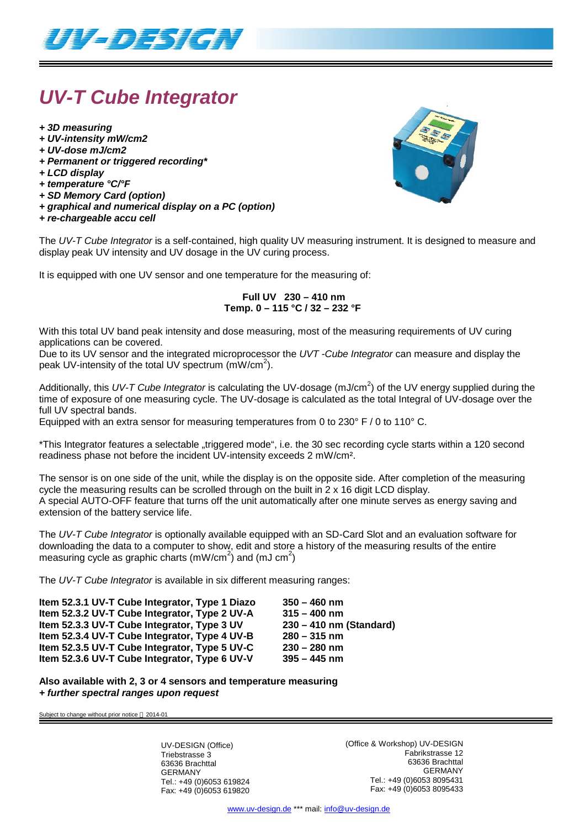

# *UV-T Cube Integrator*

- *+ 3D measuring*
- *+ UV-intensity mW/cm2*
- *+ UV-dose mJ/cm2*
- *+ Permanent or triggered recording\**
- *+ LCD display*
- *+ temperature °C/°F*
- *+ SD Memory Card (option)*
- *+ graphical and numerical display on a PC (option)*
- *+ re-chargeable accu cell*



The *UV-T Cube Integrator* is a self-contained, high quality UV measuring instrument. It is designed to measure and display peak UV intensity and UV dosage in the UV curing process.

It is equipped with one UV sensor and one temperature for the measuring of:

#### **Full UV 230 – 410 nm Temp. 0 – 115 °C / 32 – 232 °F**

With this total UV band peak intensity and dose measuring, most of the measuring requirements of UV curing applications can be covered.

Due to its UV sensor and the integrated microprocessor the *UVT -Cube Integrator* can measure and display the peak UV-intensity of the total UV spectrum  $(mW/cm<sup>2</sup>)$ .

Additionally, this UV-T Cube Integrator is calculating the UV-dosage (mJ/cm<sup>2</sup>) of the UV energy supplied during the time of exposure of one measuring cycle. The UV-dosage is calculated as the total Integral of UV-dosage over the full UV spectral bands.

Equipped with an extra sensor for measuring temperatures from 0 to  $230^{\circ}$  F / 0 to 110 $^{\circ}$  C.

\*This Integrator features a selectable "triggered mode", i.e. the 30 sec recording cycle starts within a 120 second readiness phase not before the incident UV-intensity exceeds 2 mW/cm².

The sensor is on one side of the unit, while the display is on the opposite side. After completion of the measuring cycle the measuring results can be scrolled through on the built in 2 x 16 digit LCD display. A special AUTO-OFF feature that turns off the unit automatically after one minute serves as energy saving and extension of the battery service life.

The *UV-T Cube Integrator* is optionally available equipped with an SD-Card Slot and an evaluation software for downloading the data to a computer to show, edit and store a history of the measuring results of the entire measuring cycle as graphic charts (mW/cm<sup>2</sup>) and (mJ cm<sup>2</sup>)

The *UV-T Cube Integrator* is available in six different measuring ranges:

| $350 - 460$ nm          |
|-------------------------|
| $315 - 400$ nm          |
| 230 - 410 nm (Standard) |
| $280 - 315$ nm          |
| $230 - 280$ nm          |
| $395 - 445$ nm          |
|                         |

**Also available with 2, 3 or 4 sensors and temperature measuring** *+ further spectral ranges upon request*

Subject to change without prior notice  $@$  2014-01

UV-DESIGN (Office) Triebstrasse 3 63636 Brachttal GERMANY Tel.: +49 (0)6053 619824 Fax: +49 (0)6053 619820 (Office & Workshop) UV-DESIGN Fabrikstrasse 12 63636 Brachttal GERMANY Tel.: +49 (0)6053 8095431 Fax: +49 (0)6053 8095433